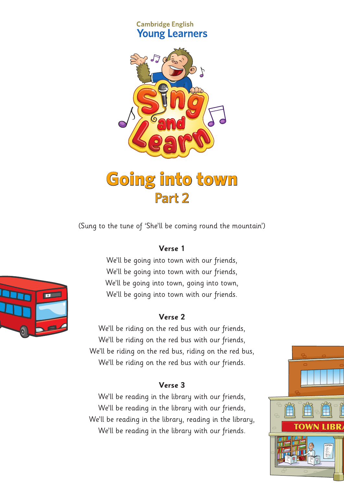## **Cambridge English Young Learners**



# **Going into town** Part 2

(Sung to the tune of 'She'll be coming round the mountain')

## **Verse 1**

We'll be going into town with our friends, We'll be going into town with our friends, We'll be going into town, going into town, We'll be going into town with our friends.

#### **Verse 2**

We'll be riding on the red bus with our friends, We'll be riding on the red bus with our friends, We'll be riding on the red bus, riding on the red bus, We'll be riding on the red bus with our friends.

## **Verse 3**

We'll be reading in the library with our friends, We'll be reading in the library with our friends, We'll be reading in the library, reading in the library, We'll be reading in the library with our friends.